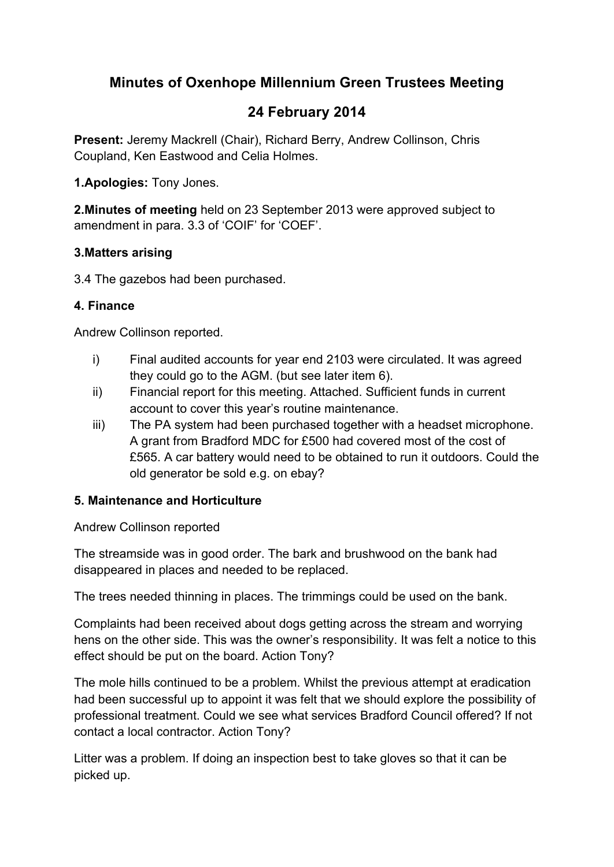## **Minutes of Oxenhope Millennium Green Trustees Meeting**

# **24 February 2014**

**Present:** Jeremy Mackrell (Chair), Richard Berry, Andrew Collinson, Chris Coupland, Ken Eastwood and Celia Holmes.

**1.Apologies:** Tony Jones.

**2.Minutes of meeting** held on 23 September 2013 were approved subject to amendment in para. 3.3 of 'COIF' for 'COEF'.

#### **3.Matters arising**

3.4 The gazebos had been purchased.

## **4. Finance**

Andrew Collinson reported.

- i) Final audited accounts for year end 2103 were circulated. It was agreed they could go to the AGM. (but see later item 6).
- ii) Financial report for this meeting. Attached. Sufficient funds in current account to cover this year's routine maintenance.
- iii) The PA system had been purchased together with a headset microphone. A grant from Bradford MDC for £500 had covered most of the cost of £565. A car battery would need to be obtained to run it outdoors. Could the old generator be sold e.g. on ebay?

#### **5. Maintenance and Horticulture**

Andrew Collinson reported

The streamside was in good order. The bark and brushwood on the bank had disappeared in places and needed to be replaced.

The trees needed thinning in places. The trimmings could be used on the bank.

Complaints had been received about dogs getting across the stream and worrying hens on the other side. This was the owner's responsibility. It was felt a notice to this effect should be put on the board. Action Tony?

The mole hills continued to be a problem. Whilst the previous attempt at eradication had been successful up to appoint it was felt that we should explore the possibility of professional treatment. Could we see what services Bradford Council offered? If not contact a local contractor. Action Tony?

Litter was a problem. If doing an inspection best to take gloves so that it can be picked up.